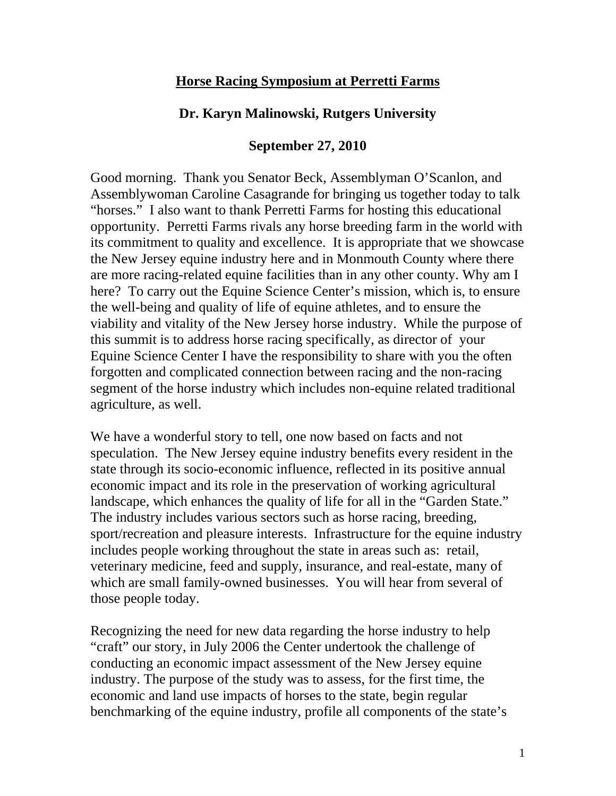## **Horse Racing Symposium at Perretti Farms**

## **Dr. Karyn Malinowski, Rutgers University**

## **September 27, 2010**

Good morning. Thank you Senator Beck, Assemblyman O'Scanlon, and Assemblywoman Caroline Casagrande for bringing us together today to talk "horses." I also want to thank Perretti Farms for hosting this educational opportunity. Perretti Farms rivals any horse breeding farm in the world with its commitment to quality and excellence. It is appropriate that we showcase the New Jersey equine industry here and in Monmouth County where there are more racing-related equine facilities than in any other county. Why am I here? To carry out the Equine Science Center's mission, which is, to ensure the well-being and quality of life of equine athletes, and to ensure the viability and vitality of the New Jersey horse industry. While the purpose of this summit is to address horse racing specifically, as director of your Equine Science Center I have the responsibility to share with you the often forgotten and complicated connection between racing and the non-racing segment of the horse industry which includes non-equine related traditional agriculture, as well.

We have a wonderful story to tell, one now based on facts and not speculation. The New Jersey equine industry benefits every resident in the state through its socio-economic influence, reflected in its positive annual economic impact and its role in the preservation of working agricultural landscape, which enhances the quality of life for all in the "Garden State." The industry includes various sectors such as horse racing, breeding, sport/recreation and pleasure interests. Infrastructure for the equine industry includes people working throughout the state in areas such as: retail, veterinary medicine, feed and supply, insurance, and real-estate, many of which are small family-owned businesses. You will hear from several of those people today.

Recognizing the need for new data regarding the horse industry to help "craft" our story, in July 2006 the Center undertook the challenge of conducting an economic impact assessment of the New Jersey equine industry. The purpose of the study was to assess, for the first time, the economic and land use impacts of horses to the state, begin regular benchmarking of the equine industry, profile all components of the state's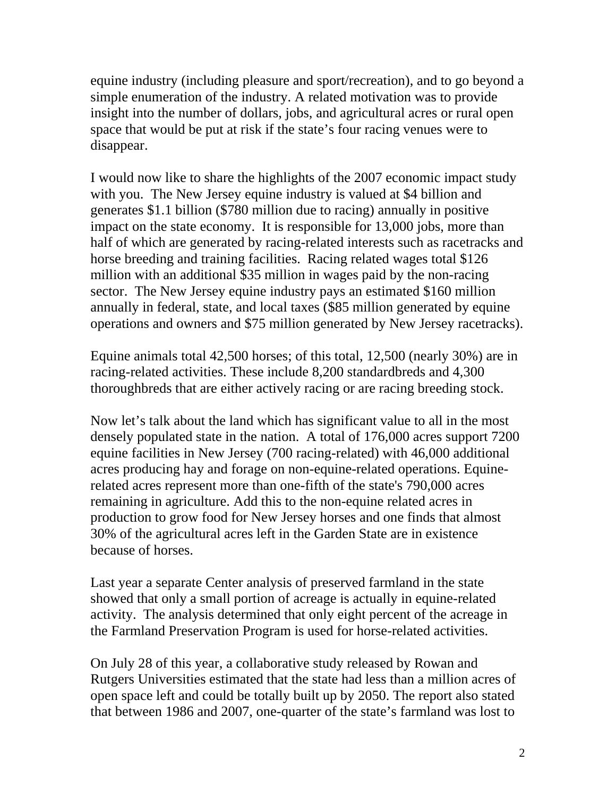equine industry (including pleasure and sport/recreation), and to go beyond a simple enumeration of the industry. A related motivation was to provide insight into the number of dollars, jobs, and agricultural acres or rural open space that would be put at risk if the state's four racing venues were to disappear.

I would now like to share the highlights of the 2007 economic impact study with you. The New Jersey equine industry is valued at \$4 billion and generates \$1.1 billion (\$780 million due to racing) annually in positive impact on the state economy. It is responsible for 13,000 jobs, more than half of which are generated by racing-related interests such as racetracks and horse breeding and training facilities. Racing related wages total \$126 million with an additional \$35 million in wages paid by the non-racing sector. The New Jersey equine industry pays an estimated \$160 million annually in federal, state, and local taxes (\$85 million generated by equine operations and owners and \$75 million generated by New Jersey racetracks).

Equine animals total 42,500 horses; of this total, 12,500 (nearly 30%) are in racing-related activities. These include 8,200 standardbreds and 4,300 thoroughbreds that are either actively racing or are racing breeding stock.

Now let's talk about the land which has significant value to all in the most densely populated state in the nation. A total of 176,000 acres support 7200 equine facilities in New Jersey (700 racing-related) with 46,000 additional acres producing hay and forage on non-equine-related operations. Equinerelated acres represent more than one-fifth of the state's 790,000 acres remaining in agriculture. Add this to the non-equine related acres in production to grow food for New Jersey horses and one finds that almost 30% of the agricultural acres left in the Garden State are in existence because of horses.

Last year a separate Center analysis of preserved farmland in the state showed that only a small portion of acreage is actually in equine-related activity. The analysis determined that only eight percent of the acreage in the Farmland Preservation Program is used for horse-related activities.

On July 28 of this year, a collaborative study released by Rowan and Rutgers Universities estimated that the state had less than a million acres of open space left and could be totally built up by 2050. The report also stated that between 1986 and 2007, one-quarter of the state's farmland was lost to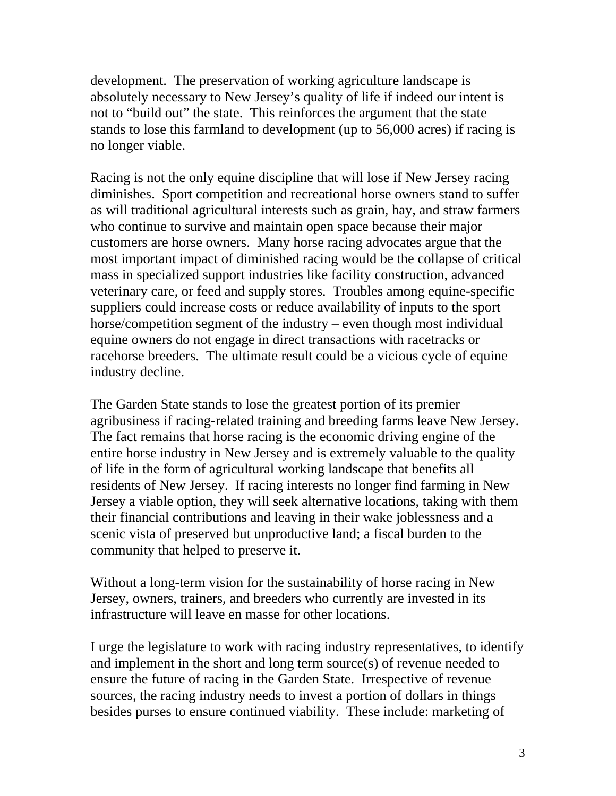development. The preservation of working agriculture landscape is absolutely necessary to New Jersey's quality of life if indeed our intent is not to "build out" the state. This reinforces the argument that the state stands to lose this farmland to development (up to 56,000 acres) if racing is no longer viable.

Racing is not the only equine discipline that will lose if New Jersey racing diminishes. Sport competition and recreational horse owners stand to suffer as will traditional agricultural interests such as grain, hay, and straw farmers who continue to survive and maintain open space because their major customers are horse owners. Many horse racing advocates argue that the most important impact of diminished racing would be the collapse of critical mass in specialized support industries like facility construction, advanced veterinary care, or feed and supply stores. Troubles among equine-specific suppliers could increase costs or reduce availability of inputs to the sport horse/competition segment of the industry – even though most individual equine owners do not engage in direct transactions with racetracks or racehorse breeders. The ultimate result could be a vicious cycle of equine industry decline.

The Garden State stands to lose the greatest portion of its premier agribusiness if racing-related training and breeding farms leave New Jersey. The fact remains that horse racing is the economic driving engine of the entire horse industry in New Jersey and is extremely valuable to the quality of life in the form of agricultural working landscape that benefits all residents of New Jersey. If racing interests no longer find farming in New Jersey a viable option, they will seek alternative locations, taking with them their financial contributions and leaving in their wake joblessness and a scenic vista of preserved but unproductive land; a fiscal burden to the community that helped to preserve it.

Without a long-term vision for the sustainability of horse racing in New Jersey, owners, trainers, and breeders who currently are invested in its infrastructure will leave en masse for other locations.

I urge the legislature to work with racing industry representatives, to identify and implement in the short and long term source(s) of revenue needed to ensure the future of racing in the Garden State. Irrespective of revenue sources, the racing industry needs to invest a portion of dollars in things besides purses to ensure continued viability. These include: marketing of